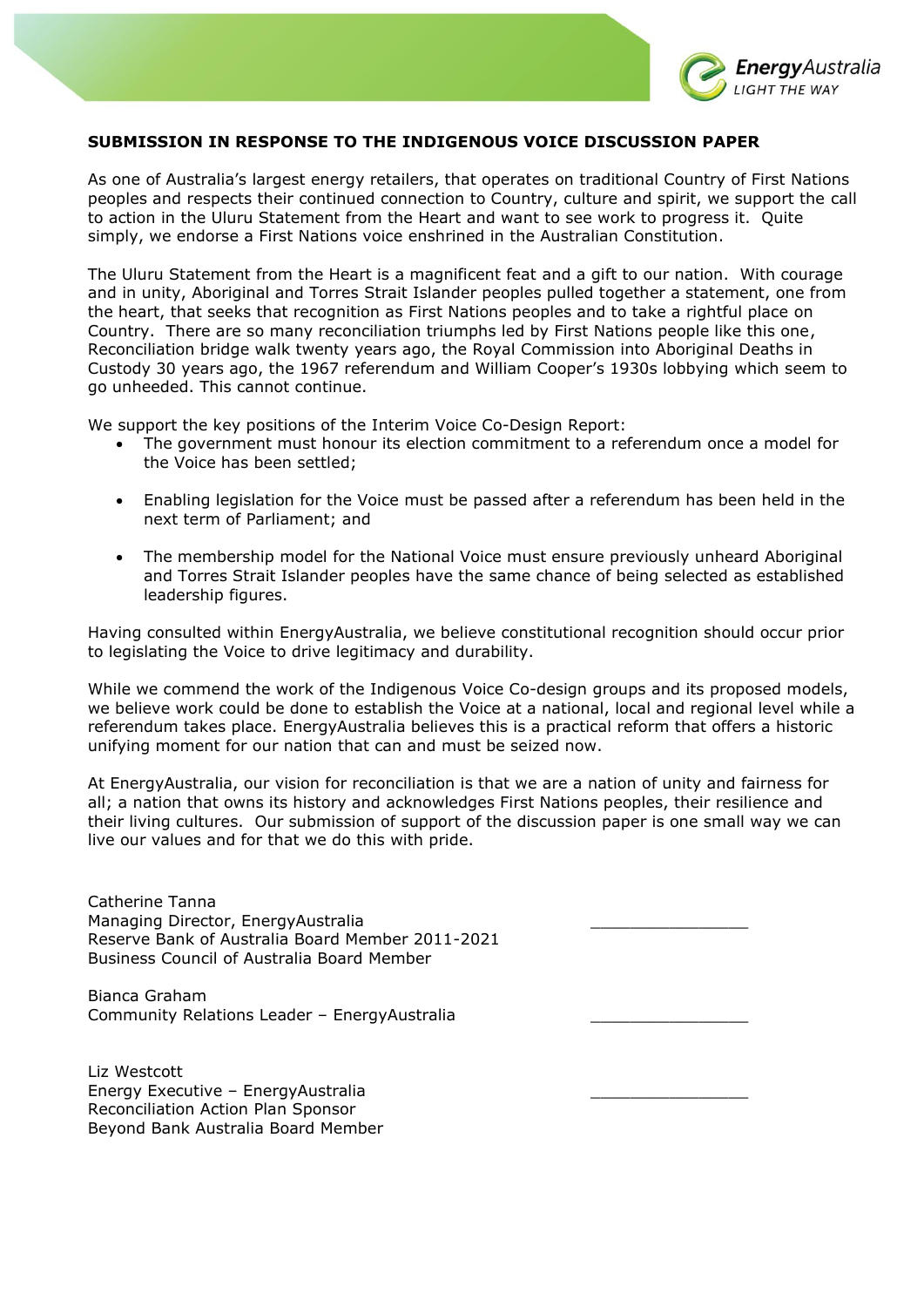

## **SUBMISSION IN RESPONSE TO THE INDIGENOUS VOICE DISCUSSION PAPER**

As one of Australia's largest energy retailers, that operates on traditional Country of First Nations peoples and respects their continued connection to Country, culture and spirit, we support the call to action in the Uluru Statement from the Heart and want to see work to progress it. Quite simply, we endorse a First Nations voice enshrined in the Australian Constitution.

The Uluru Statement from the Heart is a magnificent feat and a gift to our nation. With courage and in unity, Aboriginal and Torres Strait Islander peoples pulled together a statement, one from the heart, that seeks that recognition as First Nations peoples and to take a rightful place on Country. There are so many reconciliation triumphs led by First Nations people like this one, Reconciliation bridge walk twenty years ago, the Royal Commission into Aboriginal Deaths in Custody 30 years ago, the 1967 referendum and William Cooper's 1930s lobbying which seem to go unheeded. This cannot continue.

We support the key positions of the Interim Voice Co-Design Report:

- The government must honour its election commitment to a referendum once a model for the Voice has been settled;
- Enabling legislation for the Voice must be passed after a referendum has been held in the next term of Parliament; and
- The membership model for the National Voice must ensure previously unheard Aboriginal and Torres Strait Islander peoples have the same chance of being selected as established leadership figures.

Having consulted within EnergyAustralia, we believe constitutional recognition should occur prior to legislating the Voice to drive legitimacy and durability.

While we commend the work of the Indigenous Voice Co-design groups and its proposed models, we believe work could be done to establish the Voice at a national, local and regional level while a referendum takes place. EnergyAustralia believes this is a practical reform that offers a historic unifying moment for our nation that can and must be seized now.

At EnergyAustralia, our vision for reconciliation is that we are a nation of unity and fairness for all; a nation that owns its history and acknowledges First Nations peoples, their resilience and their living cultures. Our submission of support of the discussion paper is one small way we can live our values and for that we do this with pride.

Catherine Tanna Managing Director, EnergyAustralia \_\_\_\_\_\_\_\_\_\_\_\_\_\_\_\_ Reserve Bank of Australia Board Member 2011-2021 Business Council of Australia Board Member

Bianca Graham Community Relations Leader – EnergyAustralia \_\_\_\_\_\_\_\_\_\_\_\_\_\_\_\_

Liz Westcott Energy Executive – EnergyAustralia \_\_\_\_\_\_\_\_\_\_\_\_\_\_\_\_ Reconciliation Action Plan Sponsor Beyond Bank Australia Board Member